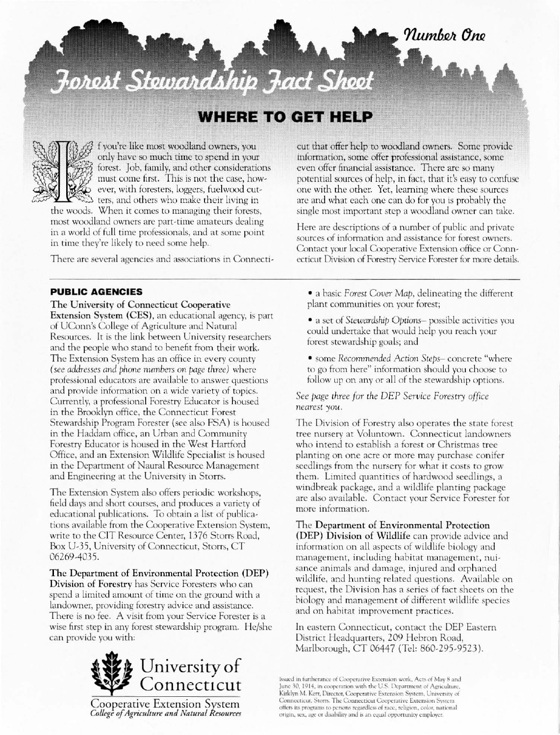# Forest Stewardship Fact Sheet

## **WHERE TO GET HELP**



f you're like most woodland owners, you only have so much time to spend in your forest. Job, family, and other considerations must come first. This is not the case, however, with foresters, loggers, fuel wood cut-[ers, Jnd others who make their living in

the woods. When it comes to managing their forests, most woodland owners arc part·time amateurs dealing in a world of full time professionals, and at some point in time they're likely to need some help.

There are several agencies and associations in Connecti-

#### PUBLIC AGENCIES

The University of Connecticut Cooperative Extension System (CES), an educational agency. is part of UConn's College of Agriculture and Natural Resources. It is the link between University researchers and the people who stand to benefit from their work. The Extension System has an office in every county *(see addresses and phone numbers on page three)* where professional educators arc ava ilable to answer questions and provide information on a wide variety of topics. Currently, a professional Forestry Educator is housed in the Brooklyn office, the Connecticut Forest Stewardship Program Forester (see also FSA) is housed in the Haddam office, an Urban and Community Forestry Educator is housed in the West Hartford Office, and an Extension Wildlife Specialist is housed in the Department of Naural Resource Management and Engineering at the University in Storrs.

The Extension System also offers periodic workshops, field days and short courses, and produces a variety of educational publications. To obtain a list of publications ava ilable from the Cooperative Extension System, write to the CIT Resource Center, 1376 Storrs Road, Box U-35, University of Connecticut, Storrs. CT 06269·4035.

The Department of Environmental Protection (DEP) Division of Forestry has Service Foresters who can spend a limited amount of time on the ground with a landowner, providing forestry advice and assistance. There is no fee. A visit from your Service Forester is a wise first step in any forest stewardship program. He/she can provide you with:



Cooperative Extension System *College of Agriculture and Natural Resources*  cur that offer help to woodland owners. Some provide information, some offer professional assistance, some even offer financial assistance. There are so many potential sources of help, in fact, that it's easy to confuse one with the other. Yet, learning where these sources arc and what each one can do for you is probably the single most important step a woodland owner em take.

Here arc descriptions of a number of public and private sources of information and assistance for forest owners. Contact your local Cooperative Extension office or Connecticut Division of Forestry Service Forester for morc details.

• a basic *Forest Cover Map,* delineating the differem plant communities on your forest;

• a set of *Stewardship Oprions-* possible activities you could undertake that would help you reach your forest stewardship goals; and

• some *Recommended Action Steps*-concrete "where to go from here" information should you choose to follow up on any or all of the stewardship options.

*See page three for the DEP Service Forestry office neares[* you.

The Division of Forestry also operates the stare forest tree nursery at Voluntown. Connecticut landowners who intend to establish a forest or Christmas tree planting on one acre or more may purchase conifer seedlings from the nursery for what it costs to grow them. Limited quantities of hardwood seedlings, a windbreak package, and a wildlife planting package arc also available. Contact your Service Forester for more information.

The Department of Environmental Protection (DEP) Division of Wildlife can provide advice and information on all aspects of wildlife biology and management, including habitat management, nuisance animals and damage, injured and orphaned wildlife, and hunting related questions. Available on request, the Division has a series of fact sheets on the biology and management of different wildlife species and on habitat improvement practices.

In eastern Connecticut, contact the DEP Easrern Districr Headquarters, 209 Hebron Road, Marlborough, CT 06447 (Tel: 860-295-9523).

Issued in furtherance of Cooperative Extension work, Acts of May 8 and June 30, 1914, in cooperation with the U.S. Department of Agriculture, Kirklyn M. Kerr, Director, Cooperative Extension System, University of Connecticut, Storrs. The Connecticut Cooperative Extension System offers its programs to persons regardless of race, religion, color, national origin, sex, age or disability and is an equal opportunity employer.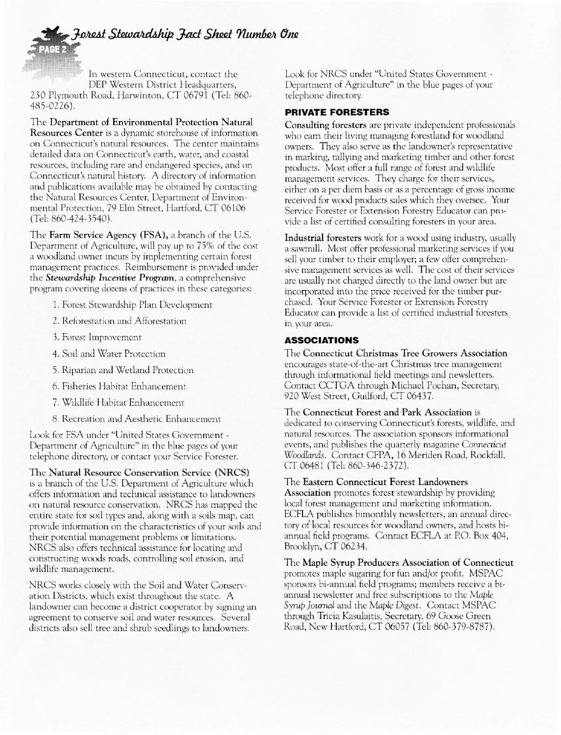## Forest Stewardship Fact Sheet Number One

In western Connecticut, contact the DEP Western District Headquarters, 230 Plymouth Road, Harwinton, CT 06791 (Tel: 860-485,0226).

The Department of Environmental Protection Natural Resources Center is a dynamic storehouse of information on Connecticut's natural resources. The center maintains detailed data on Connecticut's earth, water, and coastal resources, including rare and endangered species, and on Connecticut's natural history. A directory of information and publications available may be obtained by contacting rhe Natural Resources Center, Department of Environmental Protecrion, 79 Elm Street, Hartford, CT 06106 (Tel: 860-424-3540).

The Farm Service Agency (FSA), a branch of the U.S. Department of Agriculture, will pay up to 75% of the cost a woodland owner incurs by implementing certain forest management practices. Reimbursement is provided under the *Stewardshil}* Incentive *Program,* a comprehensive program covering dozens of pmctices in these caregories:

- 1. Forest Stewardship Plan Development
- 2. Reforestation and Afforestation
- 3. Forest Improvement
- 4. Soil and Water Protection
- 5. Riparian and Wetland Protection
- 6. Fisheries Habitat Enhancemenr
- 7. Wildlife Habitat Enhancement
- 8. Recreation and Aesthetic Enhancement

Look for FSA under "United States Government -Department of Agriculture" in the blue pages of your telephone directory, or contact your Service Forester.

The Natural Resource Conservation Service (NRCS) is a branch of the U.S. Department of Agriculture which offers infonnation and technical assistance to landowners on natural resource conservation. NRCS has mapped the entire state for soil types and, along with a soils map, can provide information on the characteristics of your soils and their potential management problems or limitations. NRCS also offers technical assistance for locating and constructing woods roads, controlling soil erosion, and wildlife managcment.

NRCS works closely with the Soil and Water Conservarion Districts, which exist throughout the state. A landowner can become a district cooperator by signing an agreement to conserve soil and water resources. Several districts also sell tree and shrub seedlings to landowners.

Look for NRCS under "United States Government - Department of Agriculture" in the blue pages of your telephone directory.

#### PRIVATE FORESTERS

Consulting foresters arc private independent professionals who cam their living managing forestland for woodland owners. They also serve as the landowner's representative in marking, tallying and marketing timber and other forest products. Most offer a full range of forest and wildlife management services. They charge for their services, either on a per diem basis or as a percentage of gross income received for wood products sales which they oversee. Your Service Forester or Extension Forestry Educator can provide a list of certified consulting foresters in your area.

Industrial foresters work for a wood using industry, usually a sawmill. Most offer professional marketing services if you sell your timber to their employer; a few offer comprehensive management services as well. The cost of their services are usually not charged directly to the land owner but are incorporated into the price received for the timber purchased. Your Service Forester or Extension Forestry Educator can provide a list of certified industrial foresters in your area.

#### ASSOCIATIONS

The Connecticut Christmas Tree Growers Association encourages state-of-the-art Christmas tree management through informational field meetings and newsletters. Contact CCTGA through Michael Pochan, Secretary, 920 Wesr Srrcer, Guilford, CT 06437.

The Connecticut Forest and Park Association is dedicated to conserving Connecticut's forests, wildlife, and natural resources. The association sponsors informational events, and publishes the quarterly magazine *Connecticut* Woodlands. Contact CFPA, 16 Meriden Road, Rockfall, CT 06481 (Tel: 860-346-2372).

The Eastern Connecticut Forest Landowners Association promotes forest stewardship by providing

local forest management and marketing information. ECFLA publishes bimonthly newsletters, an annual directory of local resources for woodland owners, and hosts biannual field programs. Conraer ECFLA ar PO. Box 404, Brooklyn, CT 06234.

The Maple Syrup Producers Association of Connecticut promotes maple sugaring for fun and/or profit. MSPAC sponsors bi-annual field programs; members receive a biannual newsletter and free subscriptions to the Maple *Syn,p]ollmal* and rhe *Maple* Digest. Contaer MSPAC through Tricia Kasulaitis, Secretary, 69 Goose Green Road, New Hartford, CT 06057 (Tel: 860-379-8787).